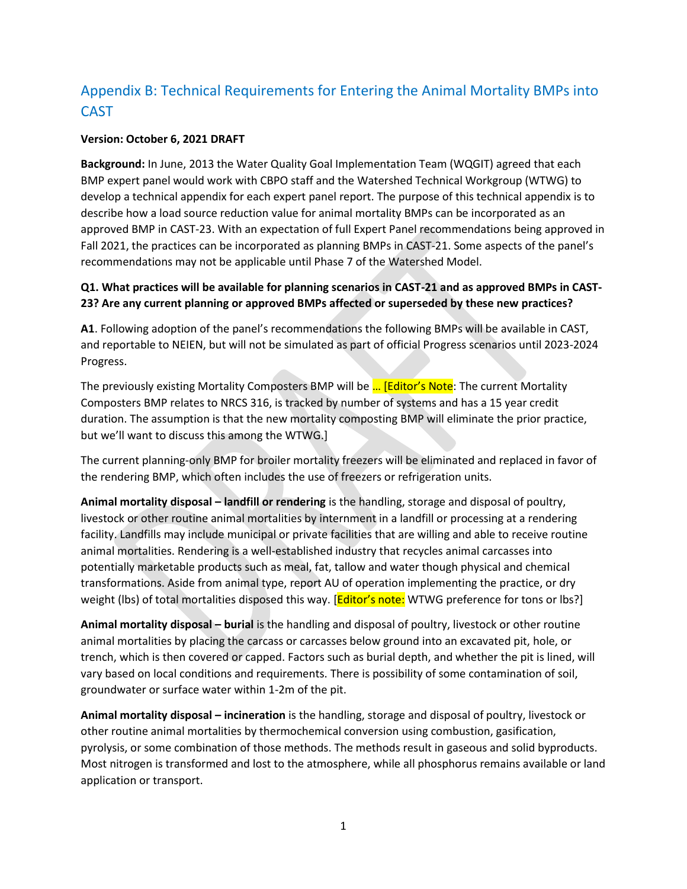# Appendix B: Technical Requirements for Entering the Animal Mortality BMPs into CAST

#### **Version: October 6, 2021 DRAFT**

**Background:** In June, 2013 the Water Quality Goal Implementation Team (WQGIT) agreed that each BMP expert panel would work with CBPO staff and the Watershed Technical Workgroup (WTWG) to develop a technical appendix for each expert panel report. The purpose of this technical appendix is to describe how a load source reduction value for animal mortality BMPs can be incorporated as an approved BMP in CAST-23. With an expectation of full Expert Panel recommendations being approved in Fall 2021, the practices can be incorporated as planning BMPs in CAST-21. Some aspects of the panel's recommendations may not be applicable until Phase 7 of the Watershed Model.

#### **Q1. What practices will be available for planning scenarios in CAST-21 and as approved BMPs in CAST-23? Are any current planning or approved BMPs affected or superseded by these new practices?**

**A1**. Following adoption of the panel's recommendations the following BMPs will be available in CAST, and reportable to NEIEN, but will not be simulated as part of official Progress scenarios until 2023-2024 Progress.

The previously existing Mortality Composters BMP will be ... [Editor's Note: The current Mortality Composters BMP relates to NRCS 316, is tracked by number of systems and has a 15 year credit duration. The assumption is that the new mortality composting BMP will eliminate the prior practice, but we'll want to discuss this among the WTWG.]

The current planning-only BMP for broiler mortality freezers will be eliminated and replaced in favor of the rendering BMP, which often includes the use of freezers or refrigeration units.

**Animal mortality disposal – landfill or rendering** is the handling, storage and disposal of poultry, livestock or other routine animal mortalities by internment in a landfill or processing at a rendering facility. Landfills may include municipal or private facilities that are willing and able to receive routine animal mortalities. Rendering is a well-established industry that recycles animal carcasses into potentially marketable products such as meal, fat, tallow and water though physical and chemical transformations. Aside from animal type, report AU of operation implementing the practice, or dry weight (lbs) of total mortalities disposed this way. [Editor's note: WTWG preference for tons or lbs?]

**Animal mortality disposal – burial** is the handling and disposal of poultry, livestock or other routine animal mortalities by placing the carcass or carcasses below ground into an excavated pit, hole, or trench, which is then covered or capped. Factors such as burial depth, and whether the pit is lined, will vary based on local conditions and requirements. There is possibility of some contamination of soil, groundwater or surface water within 1-2m of the pit.

**Animal mortality disposal – incineration** is the handling, storage and disposal of poultry, livestock or other routine animal mortalities by thermochemical conversion using combustion, gasification, pyrolysis, or some combination of those methods. The methods result in gaseous and solid byproducts. Most nitrogen is transformed and lost to the atmosphere, while all phosphorus remains available or land application or transport.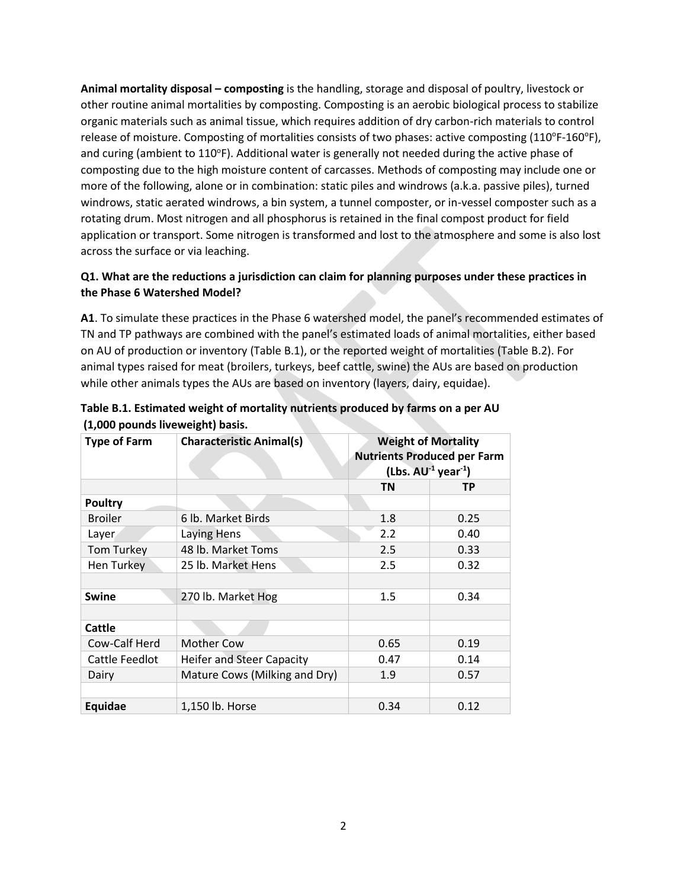**Animal mortality disposal – composting** is the handling, storage and disposal of poultry, livestock or other routine animal mortalities by composting. Composting is an aerobic biological process to stabilize organic materials such as animal tissue, which requires addition of dry carbon-rich materials to control release of moisture. Composting of mortalities consists of two phases: active composting (110°F-160°F), and curing (ambient to 110°F). Additional water is generally not needed during the active phase of composting due to the high moisture content of carcasses. Methods of composting may include one or more of the following, alone or in combination: static piles and windrows (a.k.a. passive piles), turned windrows, static aerated windrows, a bin system, a tunnel composter, or in-vessel composter such as a rotating drum. Most nitrogen and all phosphorus is retained in the final compost product for field application or transport. Some nitrogen is transformed and lost to the atmosphere and some is also lost across the surface or via leaching.

## **Q1. What are the reductions a jurisdiction can claim for planning purposes under these practices in the Phase 6 Watershed Model?**

**A1**. To simulate these practices in the Phase 6 watershed model, the panel's recommended estimates of TN and TP pathways are combined with the panel's estimated loads of animal mortalities, either based on AU of production or inventory (Table B.1), or the reported weight of mortalities (Table B.2). For animal types raised for meat (broilers, turkeys, beef cattle, swine) the AUs are based on production while other animals types the AUs are based on inventory (layers, dairy, equidae).

| <b>Type of Farm</b> | <b>Characteristic Animal(s)</b>  | <b>Weight of Mortality</b><br><b>Nutrients Produced per Farm</b><br>$(Lbs. AU-1 year-1)$ |           |  |
|---------------------|----------------------------------|------------------------------------------------------------------------------------------|-----------|--|
|                     |                                  | <b>TN</b>                                                                                | <b>TP</b> |  |
| <b>Poultry</b>      |                                  |                                                                                          |           |  |
| <b>Broiler</b>      | 6 lb. Market Birds               | 1.8                                                                                      | 0.25      |  |
| Layer               | Laying Hens                      | 2.2                                                                                      | 0.40      |  |
| Tom Turkey          | 48 lb. Market Toms               | 2.5                                                                                      | 0.33      |  |
| Hen Turkey          | 25 lb. Market Hens               | 2.5                                                                                      | 0.32      |  |
|                     |                                  |                                                                                          |           |  |
| <b>Swine</b>        | 270 lb. Market Hog               | 1.5                                                                                      | 0.34      |  |
|                     |                                  |                                                                                          |           |  |
| <b>Cattle</b>       |                                  |                                                                                          |           |  |
| Cow-Calf Herd       | <b>Mother Cow</b>                | 0.65                                                                                     | 0.19      |  |
| Cattle Feedlot      | <b>Heifer and Steer Capacity</b> | 0.47                                                                                     | 0.14      |  |
| Dairy               | Mature Cows (Milking and Dry)    | 1.9                                                                                      | 0.57      |  |
|                     |                                  |                                                                                          |           |  |
| Equidae             | 1,150 lb. Horse                  | 0.34                                                                                     | 0.12      |  |

| Table B.1. Estimated weight of mortality nutrients produced by farms on a per AU |  |  |
|----------------------------------------------------------------------------------|--|--|
| (1,000 pounds liveweight) basis.                                                 |  |  |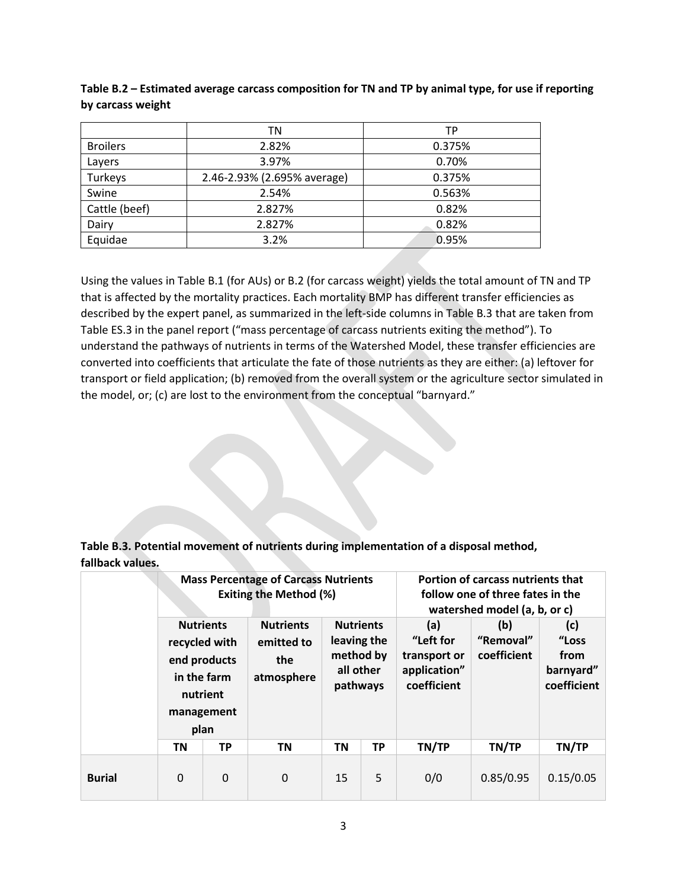| Table B.2 – Estimated average carcass composition for TN and TP by animal type, for use if reporting |
|------------------------------------------------------------------------------------------------------|
| by carcass weight                                                                                    |

|                 | ΤN                          | TP     |
|-----------------|-----------------------------|--------|
| <b>Broilers</b> | 2.82%                       | 0.375% |
| Layers          | 3.97%                       | 0.70%  |
| Turkeys         | 2.46-2.93% (2.695% average) | 0.375% |
| Swine           | 2.54%                       | 0.563% |
| Cattle (beef)   | 2.827%                      | 0.82%  |
| Dairy           | 2.827%                      | 0.82%  |
| Equidae         | 3.2%                        | 0.95%  |

Using the values in Table B.1 (for AUs) or B.2 (for carcass weight) yields the total amount of TN and TP that is affected by the mortality practices. Each mortality BMP has different transfer efficiencies as described by the expert panel, as summarized in the left-side columns in Table B.3 that are taken from Table ES.3 in the panel report ("mass percentage of carcass nutrients exiting the method"). To understand the pathways of nutrients in terms of the Watershed Model, these transfer efficiencies are converted into coefficients that articulate the fate of those nutrients as they are either: (a) leftover for transport or field application; (b) removed from the overall system or the agriculture sector simulated in the model, or; (c) are lost to the environment from the conceptual "barnyard."

**Table B.3. Potential movement of nutrients during implementation of a disposal method, fallback values.**

|               | <b>Mass Percentage of Carcass Nutrients</b><br><b>Exiting the Method (%)</b>                       |   |                                                     |                                                                       |           | Portion of carcass nutrients that<br>follow one of three fates in the<br>watershed model (a, b, or c) |                                        |                                           |  |
|---------------|----------------------------------------------------------------------------------------------------|---|-----------------------------------------------------|-----------------------------------------------------------------------|-----------|-------------------------------------------------------------------------------------------------------|----------------------------------------|-------------------------------------------|--|
|               | <b>Nutrients</b><br>recycled with<br>end products<br>in the farm<br>nutrient<br>management<br>plan |   | <b>Nutrients</b><br>emitted to<br>the<br>atmosphere | <b>Nutrients</b><br>leaving the<br>method by<br>all other<br>pathways |           | (a)<br>"Left for<br>transport or<br>application"<br>coefficient                                       | (b)<br>(c)<br>"Removal"<br>coefficient | "Loss<br>from<br>barnyard"<br>coefficient |  |
|               | <b>TP</b><br>ΤN                                                                                    |   | ΤN                                                  | ΤN                                                                    | <b>TP</b> | TN/TP                                                                                                 | TN/TP                                  | TN/TP                                     |  |
| <b>Burial</b> | 0                                                                                                  | 0 | $\Omega$                                            | 15                                                                    | 5         | 0/0                                                                                                   | 0.85/0.95                              | 0.15/0.05                                 |  |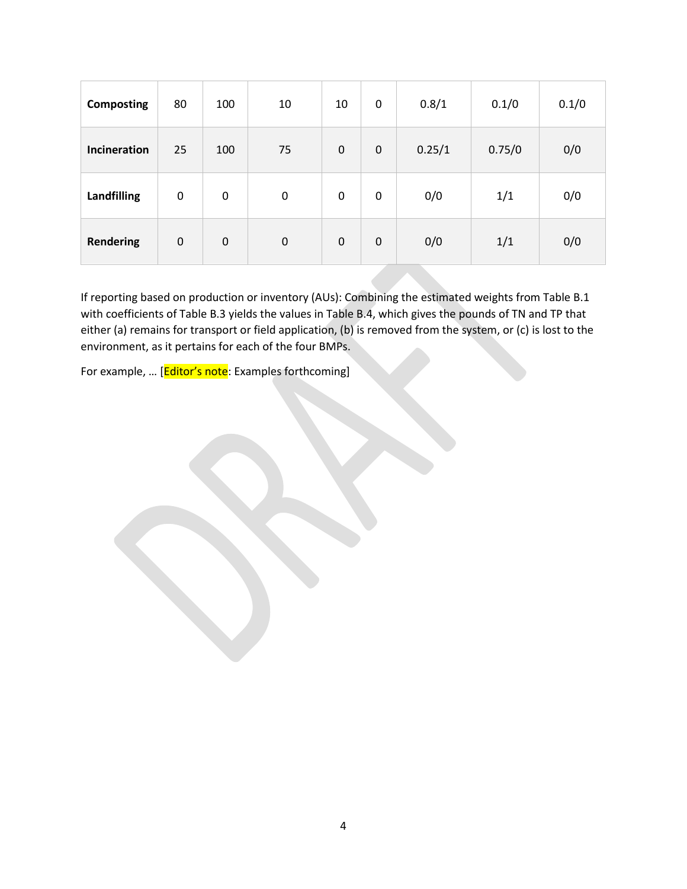| <b>Composting</b>  | 80          | 100         | 10               | 10          | 0           | 0.8/1  | 0.1/0  | 0.1/0 |
|--------------------|-------------|-------------|------------------|-------------|-------------|--------|--------|-------|
| Incineration       | 25          | 100         | 75               | $\mathbf 0$ | $\mathbf 0$ | 0.25/1 | 0.75/0 | 0/0   |
| <b>Landfilling</b> | $\mathbf 0$ | $\mathbf 0$ | $\boldsymbol{0}$ | $\mathbf 0$ | 0           | 0/0    | 1/1    | 0/0   |
| <b>Rendering</b>   | $\mathbf 0$ | $\mathbf 0$ | $\mathbf 0$      | $\pmb{0}$   | $\mathbf 0$ | 0/0    | 1/1    | 0/0   |

If reporting based on production or inventory (AUs): Combining the estimated weights from Table B.1 with coefficients of Table B.3 yields the values in Table B.4, which gives the pounds of TN and TP that either (a) remains for transport or field application, (b) is removed from the system, or (c) is lost to the environment, as it pertains for each of the four BMPs.

For example, ... [Editor's note: Examples forthcoming]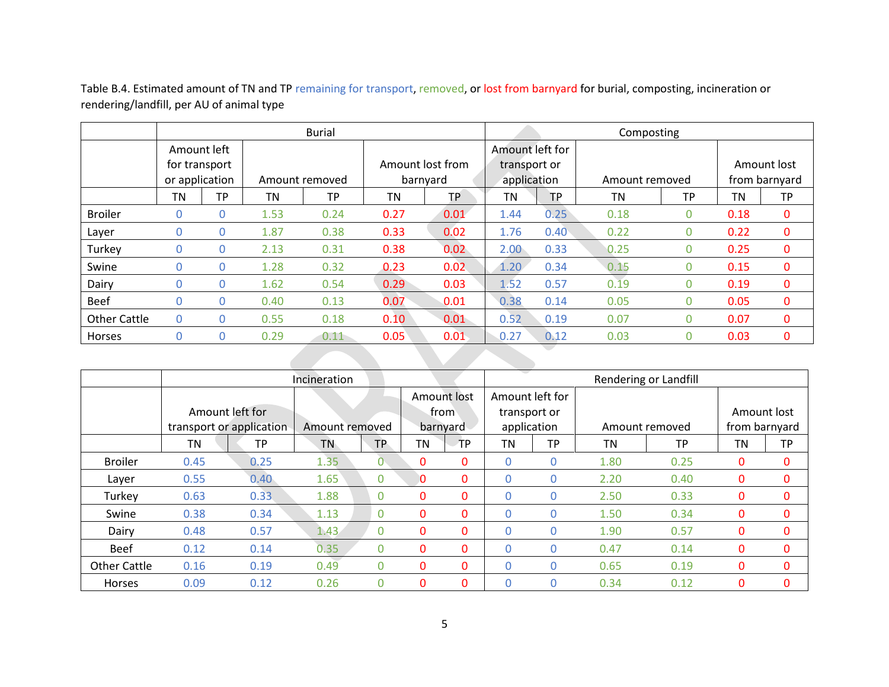Table B.4. Estimated amount of TN and TP remaining for transport, removed, or lost from barnyard for burial, composting, incineration or rendering/landfill, per AU of animal type

|                     | <b>Burial</b>                                  |             |                |           |                              |      | Composting                                     |                |                |           |                              |           |
|---------------------|------------------------------------------------|-------------|----------------|-----------|------------------------------|------|------------------------------------------------|----------------|----------------|-----------|------------------------------|-----------|
|                     | Amount left<br>for transport<br>or application |             | Amount removed |           | Amount lost from<br>barnyard |      | Amount left for<br>transport or<br>application |                | Amount removed |           | Amount lost<br>from barnyard |           |
|                     | ΤN                                             | <b>TP</b>   | ΤN             | <b>TP</b> | TN                           | TP   | ΤN                                             | <b>TP</b>      | TN             | <b>TP</b> | TN                           | <b>TP</b> |
| <b>Broiler</b>      | 0                                              | 0           | 1.53           | 0.24      | 0.27                         | 0.01 | 1.44                                           | 0.25           | 0.18           | 0         | 0.18                         | 0         |
| Layer               | 0                                              | $\mathbf 0$ | 1.87           | 0.38      | 0.33                         | 0.02 | 1.76                                           | $0.40^{\circ}$ | 0.22           | 0         | 0.22                         | 0         |
| Turkey              | 0                                              | 0           | 2.13           | 0.31      | 0.38                         | 0.02 | 2.00                                           | 0.33           | 0.25           | 0         | 0.25                         | 0         |
| Swine               | 0                                              | 0           | 1.28           | 0.32      | 0.23                         | 0.02 | 1.20                                           | 0.34           | 0.15           | 0         | 0.15                         | 0         |
| Dairy               | 0                                              | $\mathbf 0$ | 1.62           | 0.54      | 0.29                         | 0.03 | 1.52                                           | 0.57           | 0.19           | 0         | 0.19                         | 0         |
| <b>Beef</b>         | 0                                              | $\mathbf 0$ | 0.40           | 0.13      | 0.07                         | 0.01 | 0.38                                           | 0.14           | 0.05           | 0         | 0.05                         | 0         |
| <b>Other Cattle</b> | $\mathbf{0}$                                   | 0           | 0.55           | 0.18      | 0.10                         | 0.01 | 0.52                                           | 0.19           | 0.07           | $\Omega$  | 0.07                         | 0         |
| Horses              | 0                                              | 0           | 0.29           | 0.11      | 0.05                         | 0.01 | 0.27                                           | 0.12           | 0.03           | 0         | 0.03                         | 0         |
|                     |                                                |             |                |           |                              |      |                                                |                |                |           |                              |           |

|                     | Incineration |                          |                |                |          |             |                 | Rendering or Landfill |      |                |               |              |
|---------------------|--------------|--------------------------|----------------|----------------|----------|-------------|-----------------|-----------------------|------|----------------|---------------|--------------|
|                     |              |                          |                |                |          | Amount lost | Amount left for |                       |      |                |               |              |
|                     |              | Amount left for          |                |                |          | from        | transport or    |                       |      |                | Amount lost   |              |
|                     |              | transport or application | Amount removed |                |          | barnyard    | application     |                       |      | Amount removed | from barnyard |              |
|                     | <b>TN</b>    | <b>TP</b>                | <b>TN</b>      | TP.            | ΤN       | TP          | <b>TN</b>       | TP                    | ΤN   | <b>TP</b>      | <b>TN</b>     | <b>TP</b>    |
| <b>Broiler</b>      | 0.45         | 0.25                     | 1.35           |                | 0        | 0           |                 | 0                     | 1.80 | 0.25           | 0             | 0            |
| Layer               | 0.55         | 0.40                     | 1.65           | $\overline{0}$ | 0        | 0           | 0               | 0                     | 2.20 | 0.40           | 0             | 0            |
| Turkey              | 0.63         | 0.33                     | 1.88           | $\overline{0}$ | 0        | 0           | 0               | 0                     | 2.50 | 0.33           | 0             | 0            |
| Swine               | 0.38         | 0.34                     | 1.13           | $\Omega$       | 0        | 0           | 0               | 0                     | 1.50 | 0.34           | 0             | 0            |
| Dairy               | 0.48         | 0.57                     | 1.43           | $\Omega$       | 0        | 0           | 0               | 0                     | 1.90 | 0.57           | 0             | $\mathbf{0}$ |
| <b>Beef</b>         | 0.12         | 0.14                     | 0.35           | $\Omega$       | 0        | 0           | O.              | 0                     | 0.47 | 0.14           | 0             | $\mathbf{0}$ |
| <b>Other Cattle</b> | 0.16         | 0.19                     | 0.49           | $\Omega$       | 0        | 0           | 0               | 0                     | 0.65 | 0.19           | 0             | $\mathbf{0}$ |
| Horses              | 0.09         | 0.12                     | 0.26           | $\Omega$       | $\Omega$ | 0           | O.              | 0                     | 0.34 | 0.12           | 0             | 0            |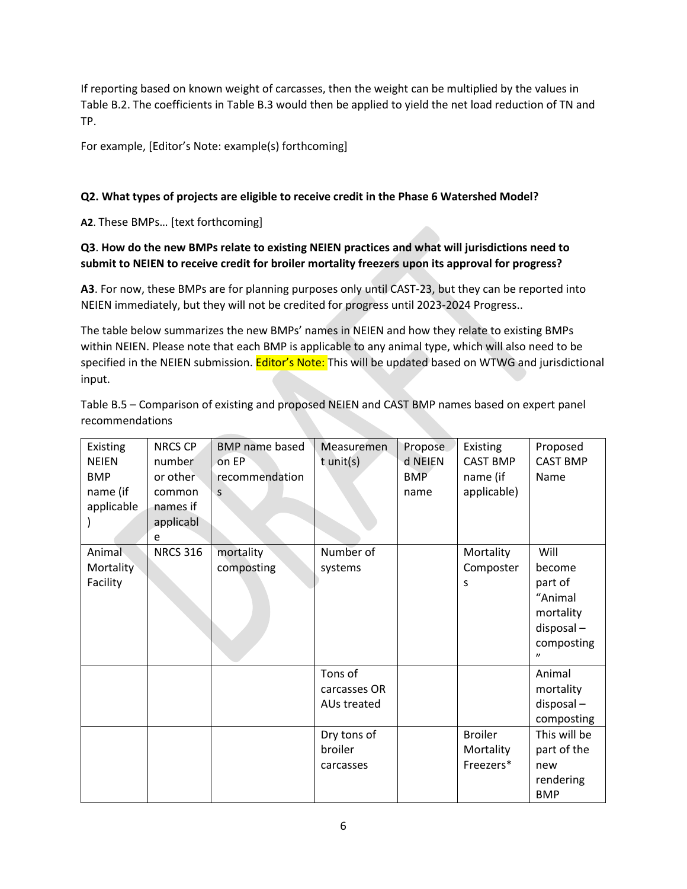If reporting based on known weight of carcasses, then the weight can be multiplied by the values in Table B.2. The coefficients in Table B.3 would then be applied to yield the net load reduction of TN and TP.

For example, [Editor's Note: example(s) forthcoming]

## **Q2. What types of projects are eligible to receive credit in the Phase 6 Watershed Model?**

**A2**. These BMPs… [text forthcoming]

## **Q3**. **How do the new BMPs relate to existing NEIEN practices and what will jurisdictions need to submit to NEIEN to receive credit for broiler mortality freezers upon its approval for progress?**

**A3**. For now, these BMPs are for planning purposes only until CAST-23, but they can be reported into NEIEN immediately, but they will not be credited for progress until 2023-2024 Progress..

The table below summarizes the new BMPs' names in NEIEN and how they relate to existing BMPs within NEIEN. Please note that each BMP is applicable to any animal type, which will also need to be specified in the NEIEN submission. Editor's Note: This will be updated based on WTWG and jurisdictional input.

Table B.5 – Comparison of existing and proposed NEIEN and CAST BMP names based on expert panel recommendations

| Existing<br><b>NEIEN</b><br><b>BMP</b><br>name (if<br>applicable | <b>NRCS CP</b><br>number<br>or other<br>common<br>names if<br>applicabl<br>e | <b>BMP</b> name based<br>on EP<br>recommendation<br>S | Measuremen<br>t unit(s)                                                       | Propose<br>d NEIEN<br><b>BMP</b><br>name | Existing<br><b>CAST BMP</b><br>name (if<br>applicable) | Proposed<br><b>CAST BMP</b><br>Name                                                                                |
|------------------------------------------------------------------|------------------------------------------------------------------------------|-------------------------------------------------------|-------------------------------------------------------------------------------|------------------------------------------|--------------------------------------------------------|--------------------------------------------------------------------------------------------------------------------|
| Animal<br>Mortality<br>Facility                                  | <b>NRCS 316</b>                                                              | mortality<br>composting                               | Number of<br>systems                                                          |                                          | Mortality<br>Composter<br>S                            | Will<br>become<br>part of<br>"Animal<br>mortality<br>$disposal -$<br>composting<br>$\boldsymbol{\eta}$             |
|                                                                  |                                                                              |                                                       | Tons of<br>carcasses OR<br>AUs treated<br>Dry tons of<br>broiler<br>carcasses |                                          | <b>Broiler</b><br>Mortality<br>Freezers*               | Animal<br>mortality<br>$disposal -$<br>composting<br>This will be<br>part of the<br>new<br>rendering<br><b>BMP</b> |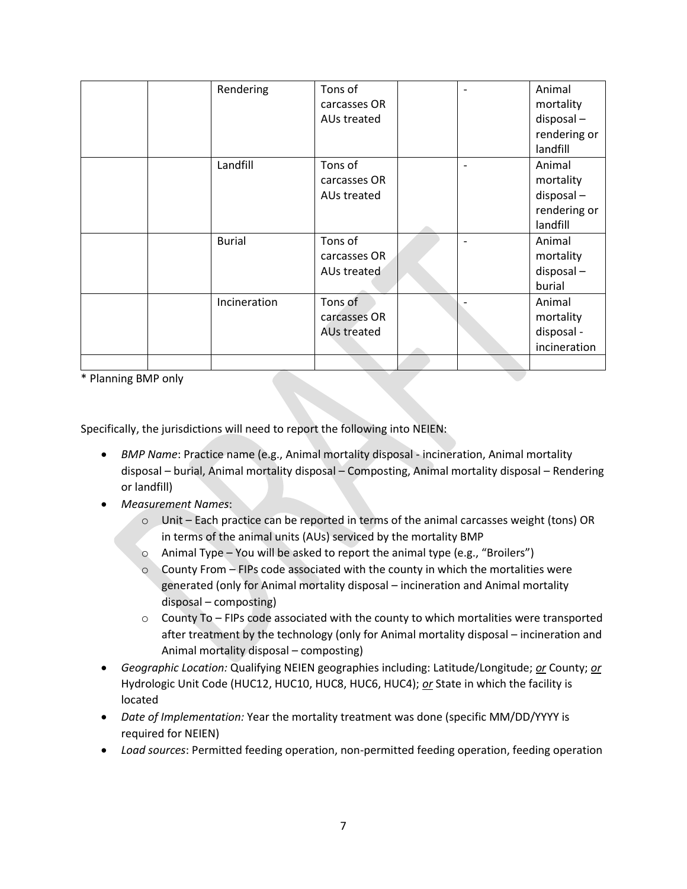|  | Rendering     | Tons of            |  | Animal       |
|--|---------------|--------------------|--|--------------|
|  |               | carcasses OR       |  | mortality    |
|  |               | AUs treated        |  | disposal-    |
|  |               |                    |  | rendering or |
|  |               |                    |  | landfill     |
|  | Landfill      | Tons of            |  | Animal       |
|  |               | carcasses OR       |  | mortality    |
|  |               | AUs treated        |  | disposal-    |
|  |               |                    |  | rendering or |
|  |               |                    |  | landfill     |
|  | <b>Burial</b> | Tons of            |  | Animal       |
|  |               | carcasses OR       |  | mortality    |
|  |               | AUs treated        |  | disposal-    |
|  |               |                    |  | burial       |
|  | Incineration  | Tons of            |  | Animal       |
|  |               | carcasses OR       |  | mortality    |
|  |               | <b>AUs treated</b> |  | disposal -   |
|  |               |                    |  | incineration |
|  |               |                    |  |              |

\* Planning BMP only

Specifically, the jurisdictions will need to report the following into NEIEN:

- *BMP Name*: Practice name (e.g., Animal mortality disposal incineration, Animal mortality disposal – burial, Animal mortality disposal – Composting, Animal mortality disposal – Rendering or landfill)
- *Measurement Names*:
	- $\circ$  Unit Each practice can be reported in terms of the animal carcasses weight (tons) OR in terms of the animal units (AUs) serviced by the mortality BMP
	- $\circ$  Animal Type You will be asked to report the animal type (e.g., "Broilers")
	- $\circ$  County From FIPs code associated with the county in which the mortalities were generated (only for Animal mortality disposal – incineration and Animal mortality disposal – composting)
	- $\circ$  County To FIPs code associated with the county to which mortalities were transported after treatment by the technology (only for Animal mortality disposal – incineration and Animal mortality disposal – composting)
- *Geographic Location:* Qualifying NEIEN geographies including: Latitude/Longitude; *or* County; *or* Hydrologic Unit Code (HUC12, HUC10, HUC8, HUC6, HUC4); *or* State in which the facility is located
- *Date of Implementation:* Year the mortality treatment was done (specific MM/DD/YYYY is required for NEIEN)
- *Load sources*: Permitted feeding operation, non-permitted feeding operation, feeding operation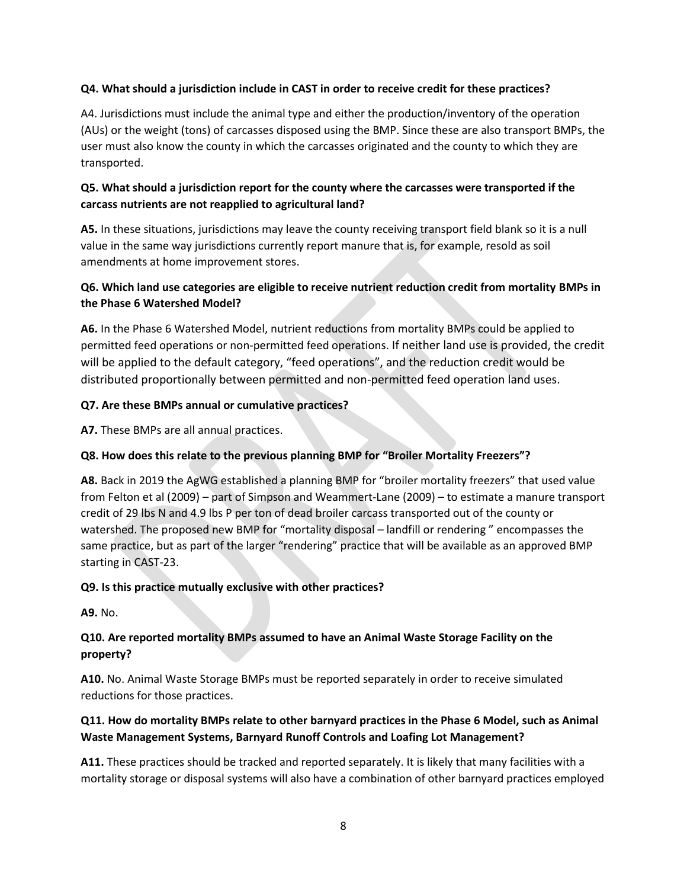#### **Q4. What should a jurisdiction include in CAST in order to receive credit for these practices?**

A4. Jurisdictions must include the animal type and either the production/inventory of the operation (AUs) or the weight (tons) of carcasses disposed using the BMP. Since these are also transport BMPs, the user must also know the county in which the carcasses originated and the county to which they are transported.

## **Q5. What should a jurisdiction report for the county where the carcasses were transported if the carcass nutrients are not reapplied to agricultural land?**

**A5.** In these situations, jurisdictions may leave the county receiving transport field blank so it is a null value in the same way jurisdictions currently report manure that is, for example, resold as soil amendments at home improvement stores.

## **Q6. Which land use categories are eligible to receive nutrient reduction credit from mortality BMPs in the Phase 6 Watershed Model?**

**A6.** In the Phase 6 Watershed Model, nutrient reductions from mortality BMPs could be applied to permitted feed operations or non-permitted feed operations. If neither land use is provided, the credit will be applied to the default category, "feed operations", and the reduction credit would be distributed proportionally between permitted and non-permitted feed operation land uses.

## **Q7. Are these BMPs annual or cumulative practices?**

**A7.** These BMPs are all annual practices.

## **Q8. How does this relate to the previous planning BMP for "Broiler Mortality Freezers"?**

**A8.** Back in 2019 the AgWG established a planning BMP for "broiler mortality freezers" that used value from Felton et al (2009) – part of Simpson and Weammert-Lane (2009) – to estimate a manure transport credit of 29 lbs N and 4.9 lbs P per ton of dead broiler carcass transported out of the county or watershed. The proposed new BMP for "mortality disposal – landfill or rendering " encompasses the same practice, but as part of the larger "rendering" practice that will be available as an approved BMP starting in CAST-23.

#### **Q9. Is this practice mutually exclusive with other practices?**

**A9.** No.

## **Q10. Are reported mortality BMPs assumed to have an Animal Waste Storage Facility on the property?**

**A10.** No. Animal Waste Storage BMPs must be reported separately in order to receive simulated reductions for those practices.

## **Q11. How do mortality BMPs relate to other barnyard practices in the Phase 6 Model, such as Animal Waste Management Systems, Barnyard Runoff Controls and Loafing Lot Management?**

**A11.** These practices should be tracked and reported separately. It is likely that many facilities with a mortality storage or disposal systems will also have a combination of other barnyard practices employed